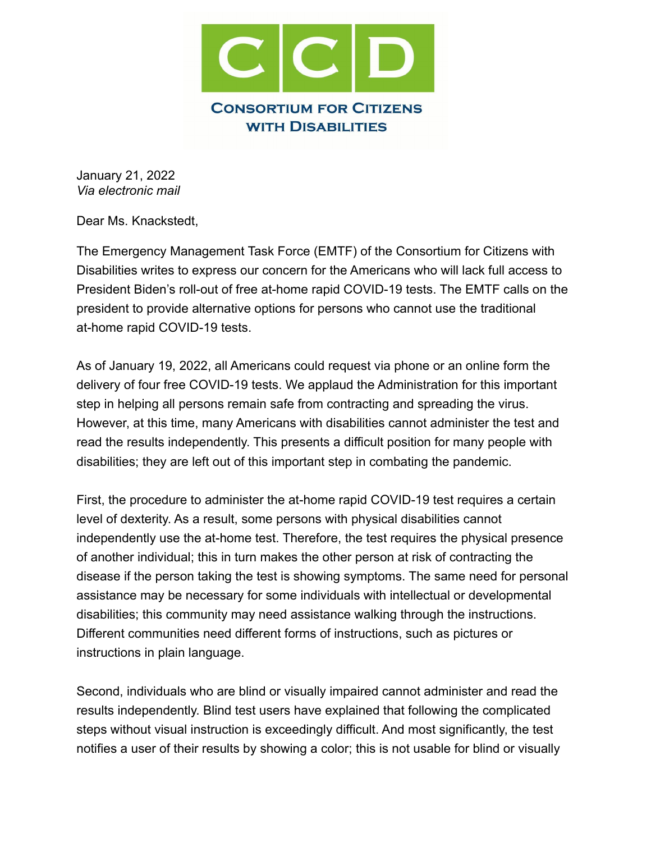

January 21, 2022 *Via electronic mail*

Dear Ms. Knackstedt,

The Emergency Management Task Force (EMTF) of the Consortium for Citizens with Disabilities writes to express our concern for the Americans who will lack full access to President Biden's roll-out of free at-home rapid COVID-19 tests. The EMTF calls on the president to provide alternative options for persons who cannot use the traditional at-home rapid COVID-19 tests.

As of January 19, 2022, all Americans could request via phone or an online form the delivery of four free COVID-19 tests. We applaud the Administration for this important step in helping all persons remain safe from contracting and spreading the virus. However, at this time, many Americans with disabilities cannot administer the test and read the results independently. This presents a difficult position for many people with disabilities; they are left out of this important step in combating the pandemic.

First, the procedure to administer the at-home rapid COVID-19 test requires a certain level of dexterity. As a result, some persons with physical disabilities cannot independently use the at-home test. Therefore, the test requires the physical presence of another individual; this in turn makes the other person at risk of contracting the disease if the person taking the test is showing symptoms. The same need for personal assistance may be necessary for some individuals with intellectual or developmental disabilities; this community may need assistance walking through the instructions. Different communities need different forms of instructions, such as pictures or instructions in plain language.

Second, individuals who are blind or visually impaired cannot administer and read the results independently. Blind test users have explained that following the complicated steps without visual instruction is exceedingly difficult. And most significantly, the test notifies a user of their results by showing a color; this is not usable for blind or visually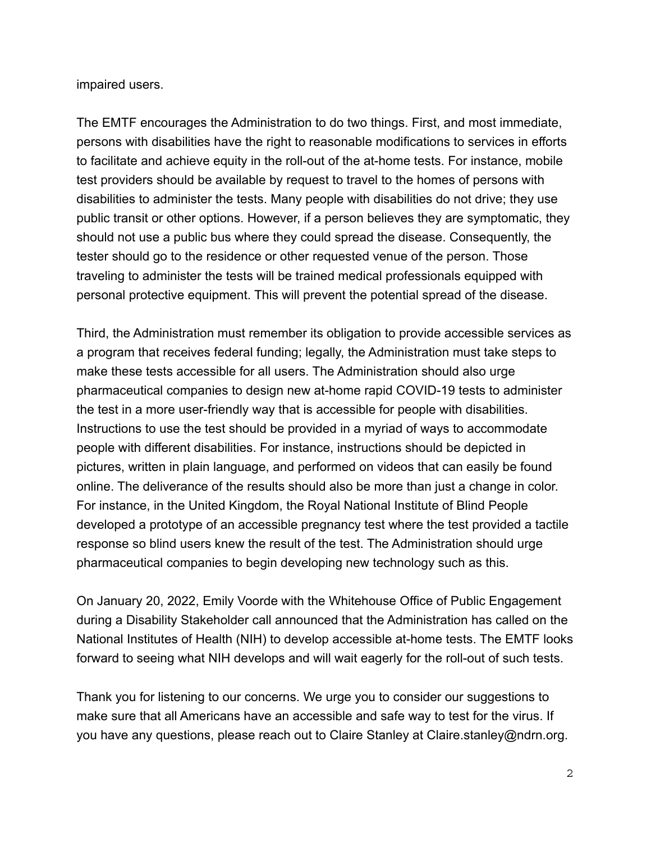## impaired users.

The EMTF encourages the Administration to do two things. First, and most immediate, persons with disabilities have the right to reasonable modifications to services in efforts to facilitate and achieve equity in the roll-out of the at-home tests. For instance, mobile test providers should be available by request to travel to the homes of persons with disabilities to administer the tests. Many people with disabilities do not drive; they use public transit or other options. However, if a person believes they are symptomatic, they should not use a public bus where they could spread the disease. Consequently, the tester should go to the residence or other requested venue of the person. Those traveling to administer the tests will be trained medical professionals equipped with personal protective equipment. This will prevent the potential spread of the disease.

Third, the Administration must remember its obligation to provide accessible services as a program that receives federal funding; legally, the Administration must take steps to make these tests accessible for all users. The Administration should also urge pharmaceutical companies to design new at-home rapid COVID-19 tests to administer the test in a more user-friendly way that is accessible for people with disabilities. Instructions to use the test should be provided in a myriad of ways to accommodate people with different disabilities. For instance, instructions should be depicted in pictures, written in plain language, and performed on videos that can easily be found online. The deliverance of the results should also be more than just a change in color. For instance, in the United Kingdom, the Royal National Institute of Blind People developed a prototype of an accessible pregnancy test where the test provided a tactile response so blind users knew the result of the test. The Administration should urge pharmaceutical companies to begin developing new technology such as this.

On January 20, 2022, Emily Voorde with the Whitehouse Office of Public Engagement during a Disability Stakeholder call announced that the Administration has called on the National Institutes of Health (NIH) to develop accessible at-home tests. The EMTF looks forward to seeing what NIH develops and will wait eagerly for the roll-out of such tests.

Thank you for listening to our concerns. We urge you to consider our suggestions to make sure that all Americans have an accessible and safe way to test for the virus. If you have any questions, please reach out to Claire Stanley at Claire.stanley@ndrn.org.